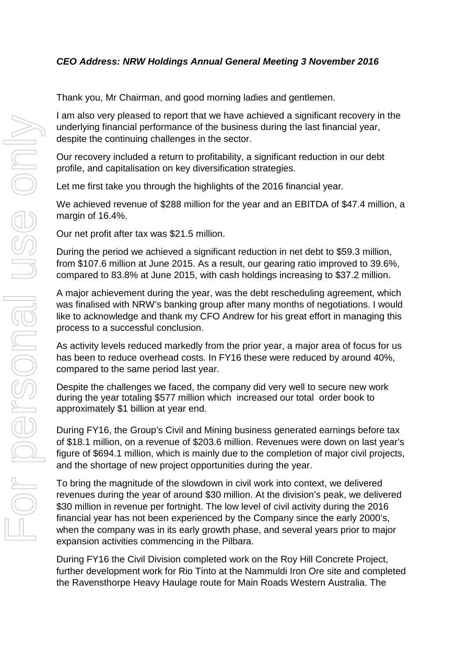Thank you, Mr Chairman, and good morning ladies and gentlemen.

I am also very pleased to report that we have achieved a significant recovery in the underlying financial performance of the business during the last financial year, despite the continuing challenges in the sector.

Our recovery included a return to profitability, a significant reduction in our debt profile, and capitalisation on key diversification strategies.

Let me first take you through the highlights of the 2016 financial year.

We achieved revenue of \$288 million for the year and an EBITDA of \$47.4 million, a margin of 16.4%.

Our net profit after tax was \$21.5 million.

During the period we achieved a significant reduction in net debt to \$59.3 million, from \$107.6 million at June 2015. As a result, our gearing ratio improved to 39.6%, compared to 83.8% at June 2015, with cash holdings increasing to \$37.2 million.

A major achievement during the year, was the debt rescheduling agreement, which was finalised with NRW's banking group after many months of negotiations. I would like to acknowledge and thank my CFO Andrew for his great effort in managing this process to a successful conclusion.

As activity levels reduced markedly from the prior year, a major area of focus for us has been to reduce overhead costs. In FY16 these were reduced by around 40%, compared to the same period last year.

Despite the challenges we faced, the company did very well to secure new work during the year totaling \$577 million which increased our total order book to approximately \$1 billion at year end.

During FY16, the Group's Civil and Mining business generated earnings before tax of \$18.1 million, on a revenue of \$203.6 million. Revenues were down on last year's figure of \$694.1 million, which is mainly due to the completion of major civil projects, and the shortage of new project opportunities during the year.

To bring the magnitude of the slowdown in civil work into context, we delivered revenues during the year of around \$30 million. At the division's peak, we delivered \$30 million in revenue per fortnight. The low level of civil activity during the 2016 financial year has not been experienced by the Company since the early 2000's, when the company was in its early growth phase, and several years prior to major expansion activities commencing in the Pilbara.

During FY16 the Civil Division completed work on the Roy Hill Concrete Project, further development work for Rio Tinto at the Nammuldi Iron Ore site and completed the Ravensthorpe Heavy Haulage route for Main Roads Western Australia. The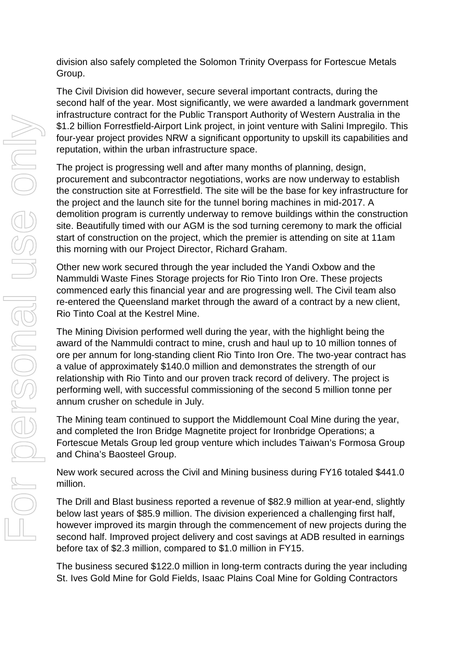division also safely completed the Solomon Trinity Overpass for Fortescue Metals Group.

The Civil Division did however, secure several important contracts, during the second half of the year. Most significantly, we were awarded a landmark government infrastructure contract for the Public Transport Authority of Western Australia in the \$1.2 billion Forrestfield-Airport Link project, in joint venture with Salini Impregilo. This four-year project provides NRW a significant opportunity to upskill its capabilities and reputation, within the urban infrastructure space.

The project is progressing well and after many months of planning, design, procurement and subcontractor negotiations, works are now underway to establish the construction site at Forrestfield. The site will be the base for key infrastructure for the project and the launch site for the tunnel boring machines in mid-2017. A demolition program is currently underway to remove buildings within the construction site. Beautifully timed with our AGM is the sod turning ceremony to mark the official start of construction on the project, which the premier is attending on site at 11am this morning with our Project Director, Richard Graham.

Other new work secured through the year included the Yandi Oxbow and the Nammuldi Waste Fines Storage projects for Rio Tinto Iron Ore. These projects commenced early this financial year and are progressing well. The Civil team also re-entered the Queensland market through the award of a contract by a new client, Rio Tinto Coal at the Kestrel Mine.

The Mining Division performed well during the year, with the highlight being the award of the Nammuldi contract to mine, crush and haul up to 10 million tonnes of ore per annum for long-standing client Rio Tinto Iron Ore. The two-year contract has a value of approximately \$140.0 million and demonstrates the strength of our relationship with Rio Tinto and our proven track record of delivery. The project is performing well, with successful commissioning of the second 5 million tonne per annum crusher on schedule in July.

The Mining team continued to support the Middlemount Coal Mine during the year, and completed the Iron Bridge Magnetite project for Ironbridge Operations; a Fortescue Metals Group led group venture which includes Taiwan's Formosa Group and China's Baosteel Group.

New work secured across the Civil and Mining business during FY16 totaled \$441.0 million.

The Drill and Blast business reported a revenue of \$82.9 million at year-end, slightly below last years of \$85.9 million. The division experienced a challenging first half, however improved its margin through the commencement of new projects during the second half. Improved project delivery and cost savings at ADB resulted in earnings before tax of \$2.3 million, compared to \$1.0 million in FY15.

The business secured \$122.0 million in long-term contracts during the year including St. Ives Gold Mine for Gold Fields, Isaac Plains Coal Mine for Golding Contractors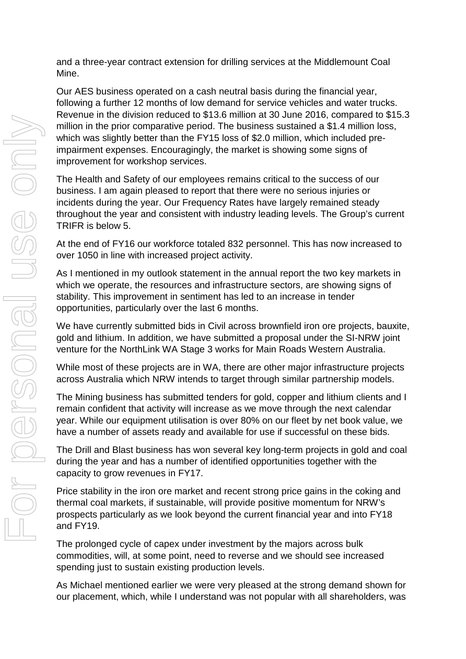and a three-year contract extension for drilling services at the Middlemount Coal Mine.

Our AES business operated on a cash neutral basis during the financial year, following a further 12 months of low demand for service vehicles and water trucks. Revenue in the division reduced to \$13.6 million at 30 June 2016, compared to \$15.3 million in the prior comparative period. The business sustained a \$1.4 million loss, which was slightly better than the FY15 loss of \$2.0 million, which included preimpairment expenses. Encouragingly, the market is showing some signs of improvement for workshop services.

The Health and Safety of our employees remains critical to the success of our business. I am again pleased to report that there were no serious injuries or incidents during the year. Our Frequency Rates have largely remained steady throughout the year and consistent with industry leading levels. The Group's current TRIFR is below 5.

At the end of FY16 our workforce totaled 832 personnel. This has now increased to over 1050 in line with increased project activity.

As I mentioned in my outlook statement in the annual report the two key markets in which we operate, the resources and infrastructure sectors, are showing signs of stability. This improvement in sentiment has led to an increase in tender opportunities, particularly over the last 6 months.

We have currently submitted bids in Civil across brownfield iron ore projects, bauxite, gold and lithium. In addition, we have submitted a proposal under the SI-NRW joint venture for the NorthLink WA Stage 3 works for Main Roads Western Australia.

While most of these projects are in WA, there are other major infrastructure projects across Australia which NRW intends to target through similar partnership models.

The Mining business has submitted tenders for gold, copper and lithium clients and I remain confident that activity will increase as we move through the next calendar year. While our equipment utilisation is over 80% on our fleet by net book value, we have a number of assets ready and available for use if successful on these bids.

The Drill and Blast business has won several key long-term projects in gold and coal during the year and has a number of identified opportunities together with the capacity to grow revenues in FY17.

Price stability in the iron ore market and recent strong price gains in the coking and thermal coal markets, if sustainable, will provide positive momentum for NRW's prospects particularly as we look beyond the current financial year and into FY18 and FY19.

The prolonged cycle of capex under investment by the majors across bulk commodities, will, at some point, need to reverse and we should see increased spending just to sustain existing production levels.

As Michael mentioned earlier we were very pleased at the strong demand shown for our placement, which, while I understand was not popular with all shareholders, was